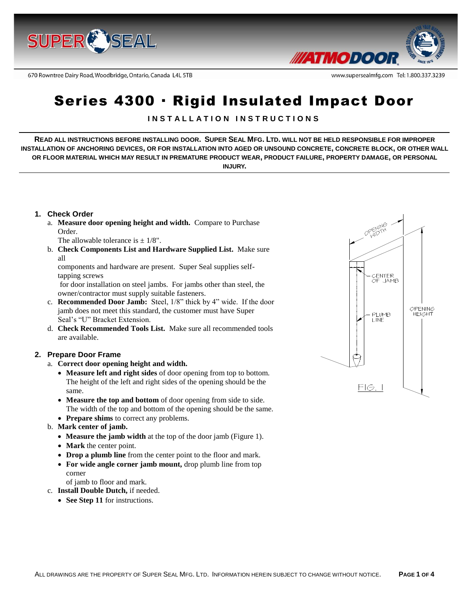

670 Rowntree Dairy Road, Woodbridge, Ontario, Canada L4L 5TB



www.supersealmfg.com Tel: 1.800.337.3239

# Series 4300 · Rigid Insulated Impact Door

# **I N S T A L L A T I O N I N S T R U C T I O N S**

**READ ALL INSTRUCTIONS BEFORE INSTALLING DOOR. SUPER SEAL MFG. LTD. WILL NOT BE HELD RESPONSIBLE FOR IMPROPER INSTALLATION OF ANCHORING DEVICES, OR FOR INSTALLATION INTO AGED OR UNSOUND CONCRETE, CONCRETE BLOCK, OR OTHER WALL OR FLOOR MATERIAL WHICH MAY RESULT IN PREMATURE PRODUCT WEAR, PRODUCT FAILURE, PROPERTY DAMAGE, OR PERSONAL INJURY.**

## **1. Check Order**

- a. **Measure door opening height and width.** Compare to Purchase Order.
	- The allowable tolerance is  $\pm$  1/8".
- b. **Check Components List and Hardware Supplied List.** Make sure all

components and hardware are present. Super Seal supplies selftapping screws

for door installation on steel jambs. For jambs other than steel, the owner/contractor must supply suitable fasteners.

- c. **Recommended Door Jamb:** Steel, 1/8" thick by 4" wide. If the door jamb does not meet this standard, the customer must have Super Seal's "U" Bracket Extension.
- d. **Check Recommended Tools List.** Make sure all recommended tools are available.

## **2. Prepare Door Frame**

- a. **Correct door opening height and width.** 
	- **Measure left and right sides** of door opening from top to bottom. The height of the left and right sides of the opening should be the same.
	- **Measure the top and bottom** of door opening from side to side. The width of the top and bottom of the opening should be the same.
	- **Prepare shims** to correct any problems.
- b. **Mark center of jamb.**
	- **Measure the jamb width** at the top of the door jamb (Figure 1).
	- **Mark** the center point.
	- **Drop a plumb line** from the center point to the floor and mark.
	- **For wide angle corner jamb mount,** drop plumb line from top corner

of jamb to floor and mark.

- c. **Install Double Dutch,** if needed.
	- See Step 11 for instructions.

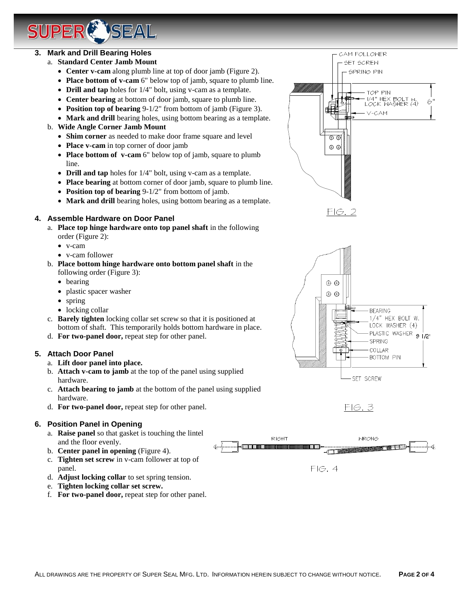# **3. Mark and Drill Bearing Holes**

- a. **Standard Center Jamb Mount**
	- **Center v-cam** along plumb line at top of door jamb (Figure 2).
	- **Place bottom of v-cam** 6" below top of jamb, square to plumb line.
	- **Drill and tap** holes for 1/4" bolt, using v-cam as a template.
	- **Center bearing** at bottom of door jamb, square to plumb line.
	- **Position top of bearing** 9-1/2" from bottom of jamb (Figure 3).
	- **Mark and drill** bearing holes, using bottom bearing as a template.
- b. **Wide Angle Corner Jamb Mount**
	- **Shim corner** as needed to make door frame square and level
	- **Place v-cam** in top corner of door jamb

**SEAL** 

- **Place bottom of v-cam** 6" below top of jamb, square to plumb line.
- **Drill and tap** holes for 1/4" bolt, using v-cam as a template.
- **Place bearing** at bottom corner of door jamb, square to plumb line.
- **Position top of bearing** 9-1/2" from bottom of jamb.
- **Mark and drill** bearing holes, using bottom bearing as a template.

#### **4. Assemble Hardware on Door Panel**

- a. **Place top hinge hardware onto top panel shaft** in the following order (Figure 2):
	- v-cam
	- v-cam follower
- b. **Place bottom hinge hardware onto bottom panel shaft** in the following order (Figure 3):
	- bearing
	- plastic spacer washer
	- spring
	- locking collar
- c. **Barely tighten** locking collar set screw so that it is positioned at bottom of shaft. This temporarily holds bottom hardware in place.
- d. **For two-panel door,** repeat step for other panel.

## **5. Attach Door Panel**

- a. **Lift door panel into place.**
- b. **Attach v-cam to jamb** at the top of the panel using supplied hardware.
- c. **Attach bearing to jamb** at the bottom of the panel using supplied hardware.
- d. **For two-panel door,** repeat step for other panel.

#### **6. Position Panel in Opening**

- a. **Raise panel** so that gasket is touching the lintel and the floor evenly.
- b. **Center panel in opening** (Figure 4).
- c. **Tighten set screw** in v-cam follower at top of panel.
- d. **Adjust locking collar** to set spring tension.
- e. **Tighten locking collar set screw.**
- f. **For two-panel door,** repeat step for other panel.



CAM FOLLOWER SET SCREW SPRING PIN

6





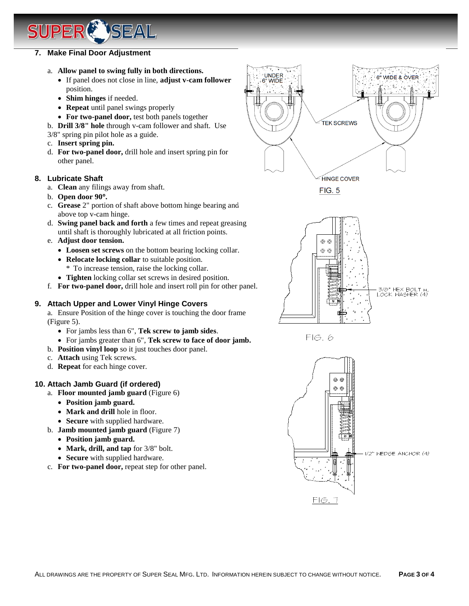## **7. Make Final Door Adjustment**

- a. **Allow panel to swing fully in both directions.**
	- If panel does not close in line, **adjust v-cam follower** position.
	- **Shim hinges** if needed.
	- **Repeat** until panel swings properly
	- **For two-panel door,** test both panels together

b. **Drill 3/8" hole** through v-cam follower and shaft. Use

- 3/8" spring pin pilot hole as a guide.
- c. **Insert spring pin.**
- d. **For two-panel door,** drill hole and insert spring pin for other panel.

## **8. Lubricate Shaft**

- a. **Clean** any filings away from shaft.
- b. **Open door 90.**
- c. **Grease** 2" portion of shaft above bottom hinge bearing and above top v-cam hinge.
- d. **Swing panel back and forth** a few times and repeat greasing until shaft is thoroughly lubricated at all friction points.
- e. **Adjust door tension.**
	- **Loosen set screws** on the bottom bearing locking collar.
	- **Relocate locking collar** to suitable position.
	- \* To increase tension, raise the locking collar.
	- **Tighten** locking collar set screws in desired position.
- f. **For two-panel door,** drill hole and insert roll pin for other panel.

## **9. Attach Upper and Lower Vinyl Hinge Covers**

a. Ensure Position of the hinge cover is touching the door frame (Figure 5).

- For jambs less than 6", **Tek screw to jamb sides**.
- For jambs greater than 6", **Tek screw to face of door jamb.**
- b. **Position vinyl loop** so it just touches door panel.
- c. **Attach** using Tek screws.
- d. **Repeat** for each hinge cover.

## **10. Attach Jamb Guard (if ordered)**

- a. **Floor mounted jamb guard** (Figure 6)
	- **Position jamb guard.**
	- Mark and drill hole in floor.
	- **Secure** with supplied hardware.
- b. **Jamb mounted jamb guard** (Figure 7)
	- **Position jamb guard.**
	- **Mark, drill, and tap** for  $3/8$ " bolt.
	- **Secure** with supplied hardware.
- c. **For two-panel door,** repeat step for other panel.